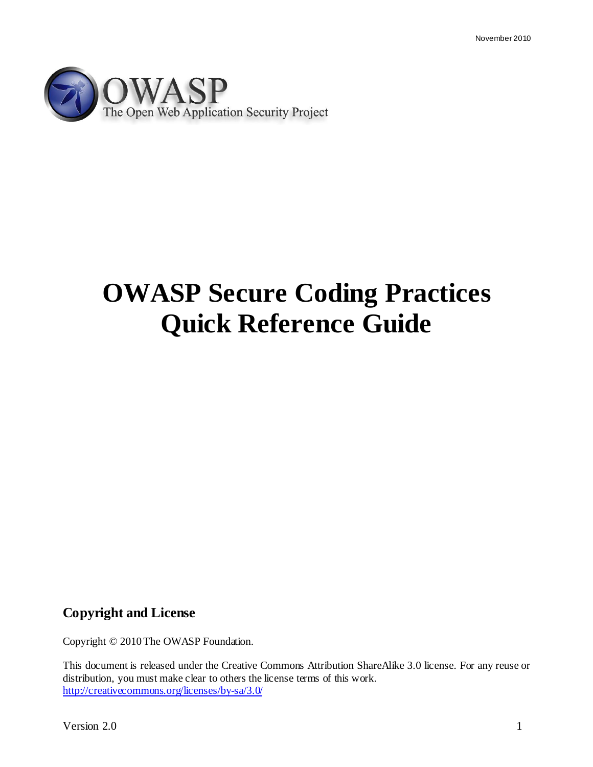

# **OWASP Secure Coding Practices Quick Reference Guide**

## **Copyright and License**

Copyright © 2010 The OWASP Foundation.

This document is released under the Creative Commons Attribution ShareAlike 3.0 license. For any reuse or distribution, you must make clear to others the license terms of this work. <http://creativecommons.org/licenses/by-sa/3.0/>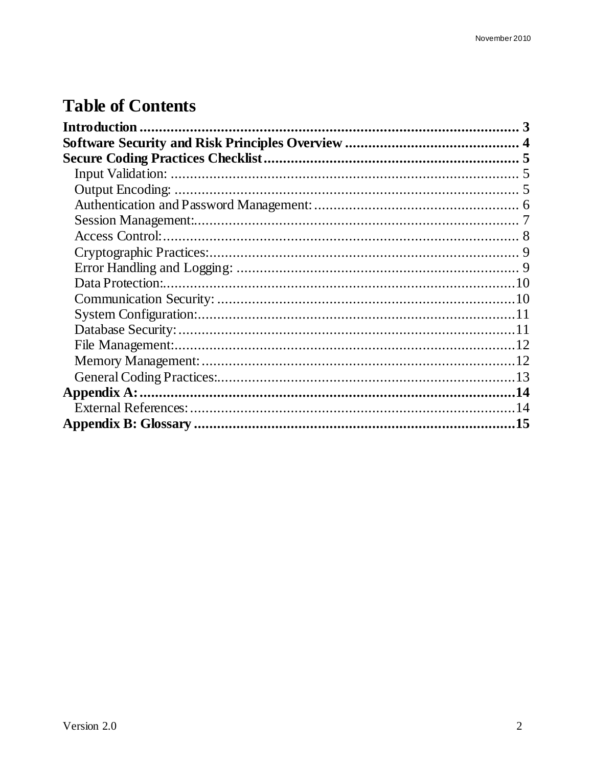## **Table of Contents**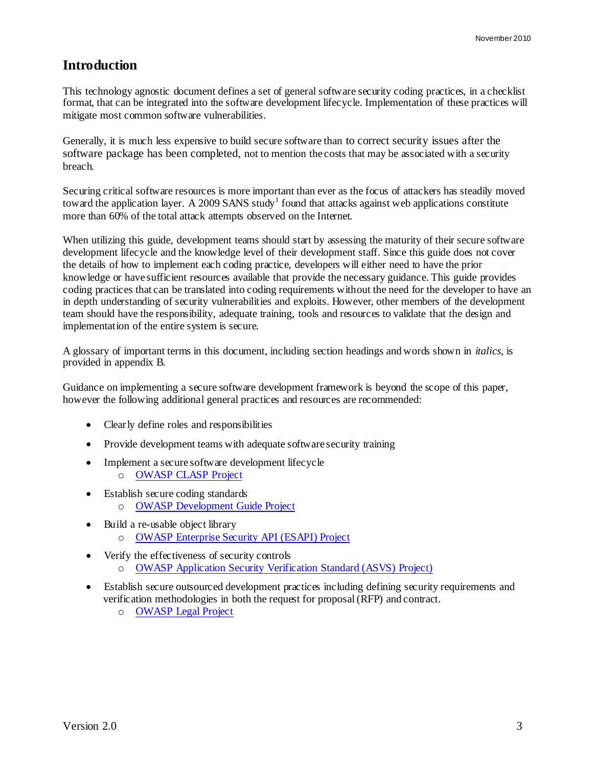## <span id="page-2-0"></span>**Introduction**

This technology agnostic document defines a set of general software security coding practices, in a checklist format, that can be integrated into the software development lifecycle. Implementation of these practices will mitigate most common software vulnerabilities.

Generally, it is much less expensive to build secure software than to correct security issues after the software package has been completed, not to mention the costs that may be associated with a security breach.

Securing critical software resources is more important than ever as the focus of attackers has steadily moved toward the application layer. A 2009 SANS study<sup>1</sup> found that attacks against web applications constitute more than 60% of the total attack attempts observed on the Internet.

When utilizing this guide, development teams should start by assessing the maturity of their secure software development lifecycle and the knowledge level of their development staff. Since this guide does not cover the details of how to implement each coding practice, developers will either need to have the prior knowledge or have sufficient resources available that provide the necessary guidance. This guide provides coding practices that can be translated into coding requirements without the need for the developer to have an in depth understanding of security vulnerabilities and exploits. However, other members of the development team should have the responsibility, adequate training, tools and resources to validate that the design and implementation of the entire system is secure.

A glossary of important terms in this document, including section headings and words shown in *italics*, is provided in appendix B.

Guidance on implementing a secure software development framework is beyond the scope of this paper, however the following additional general practices and resources are recommended:

- Clearly define roles and responsibilities
- Provide development teams with adequate software security training
- Implement a secure software development lifecycle o [OWASP CLASP Project](http://www.owasp.org/index.php/Category:OWASP_CLASP_Project)
- Establish secure coding standards o [OWASP Development Guide Project](http://www.owasp.org/index.php/Category:OWASP_Guide_Project)
- Build a re-usable object library o [OWASP Enterprise Security API \(ESAPI\) Project](http://www.owasp.org/index.php/Category:OWASP_Enterprise_Security_API)
- Verify the effectiveness of security controls o [OWASP Application Security Verification Standard \(ASVS\) Project\)](http://www.owasp.org/index.php/Category:OWASP_Application_Security_Verification_Standard_Project)
- Establish secure outsourced development practices including defining security requirements and verification methodologies in both the request for proposal (RFP) and contract.
	- o [OWASP Legal Project](http://www.owasp.org/index.php/Category:OWASP_Legal_Project)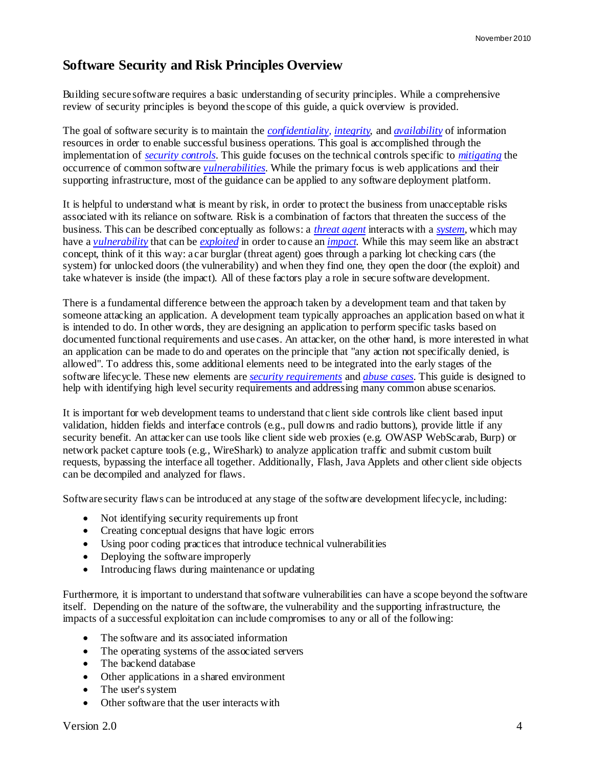## <span id="page-3-0"></span>**Software Security and Risk Principles Overview**

Building secure software requires a basic understanding of security principles. While a comprehensive review of security principles is beyond the scope of this guide, a quick overview is provided.

The goal of software security is to maintain the *[confidentiality,](#page-14-1) [integrity](#page-15-0)*, and *[availability](#page-14-2)* of information resources in order to enable successful business operations. This goal is accomplished through the implementation of *[security controls](#page-16-0)*. This guide focuses on the technical controls specific to *[mitigating](#page-15-1)* the occurrence of common software *[vulnerabilities](#page-16-1)*. While the primary focus is web applications and their supporting infrastructure, most of the guidance can be applied to any software deployment platform.

It is helpful to understand what is meant by risk, in order to protect the business from unacceptable risks associated with its reliance on software. Risk is a combination of factors that threaten the success of the business. This can be described conceptually as follows: a *[threat agent](#page-16-2)* interacts with a *[system](#page-16-3)*, which may have a *[vulnerability](#page-16-1)* that can be *[exploited](#page-14-3)* in order to cause an *[impact](#page-15-2)*. While this may seem like an abstract concept, think of it this way: a car burglar (threat agent) goes through a parking lot checking cars (the system) for unlocked doors (the vulnerability) and when they find one, they open the door (the exploit) and take whatever is inside (the impact). All of these factors play a role in secure software development.

There is a fundamental difference between the approach taken by a development team and that taken by someone attacking an application. A development team typically approaches an application based on what it is intended to do. In other words, they are designing an application to perform specific tasks based on documented functional requirements and use cases. An attacker, on the other hand, is more interested in what an application can be made to do and operates on the principle that "any action not specifically denied, is allowed". To address this, some additional elements need to be integrated into the early stages of the software lifecycle. These new elements are *[security requirements](#page-16-4)* and *[abuse cases](#page-14-4)*. This guide is designed to help with identifying high level security requirements and addressing many common abuse scenarios.

It is important for web development teams to understand that client side controls like client based input validation, hidden fields and interface controls (e.g., pull downs and radio buttons), provide little if any security benefit. An attacker can use tools like client side web proxies (e.g. OWASP WebScarab, Burp) or network packet capture tools (e.g., WireShark) to analyze application traffic and submit custom built requests, bypassing the interface all together. Additionally, Flash, Java Applets and other client side objects can be decompiled and analyzed for flaws.

Software security flaws can be introduced at any stage of the software development lifecycle, including:

- Not identifying security requirements up front
- Creating conceptual designs that have logic errors
- Using poor coding practices that introduce technical vulnerabilities
- Deploying the software improperly
- Introducing flaws during maintenance or updating

Furthermore, it is important to understand that software vulnerabilities can have a scope beyond the software itself. Depending on the nature of the software, the vulnerability and the supporting infrastructure, the impacts of a successful exploitation can include compromises to any or all of the following:

- The software and its associated information
- The operating systems of the associated servers
- The backend database
- Other applications in a shared environment
- The user's system
- Other software that the user interacts with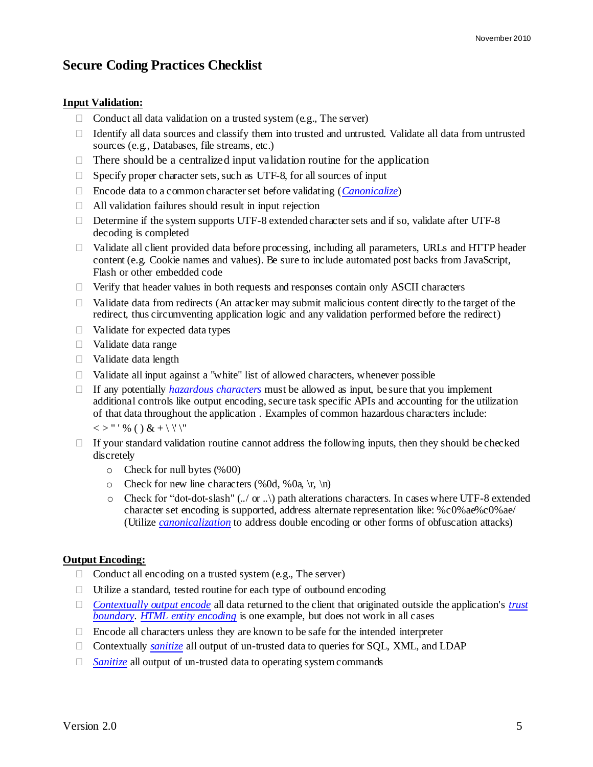## <span id="page-4-0"></span>**Secure Coding Practices Checklist**

#### <span id="page-4-1"></span>**Input Validation:**

- $\Box$  Conduct all data validation on a trusted system (e.g., The server)
- $\Box$  Identify all data sources and classify them into trusted and untrusted. Validate all data from untrusted sources (e.g., Databases, file streams, etc.)
- $\Box$  There should be a centralized input validation routine for the application
- $\Box$  Specify proper character sets, such as UTF-8, for all sources of input
- Encode data to a common character set before validating (*[Canonicalize](#page-14-5)*)
- $\Box$  All validation failures should result in input rejection
- $\Box$  Determine if the system supports UTF-8 extended character sets and if so, validate after UTF-8 decoding is completed
- $\Box$  Validate all client provided data before processing, including all parameters, URLs and HTTP header content (e.g. Cookie names and values). Be sure to include automated post backs from JavaScript, Flash or other embedded code
- $\Box$  Verify that header values in both requests and responses contain only ASCII characters
- $\Box$  Validate data from redirects (An attacker may submit malicious content directly to the target of the redirect, thus circumventing application logic and any validation performed before the redirect)
- $\Box$  Validate for expected data types
- Validate data range
- $\Box$  Validate data length
- $\Box$  Validate all input against a "white" list of allowed characters, whenever possible
- If any potentially *[hazardous characters](#page-15-3)* must be allowed as input, be sure that you implement additional controls like output encoding, secure task specific APIs and accounting for the utilization of that data throughout the application . Examples of common hazardous characters include:

 $<<$  > " ' % ( ) & + \ \' \"

- $\Box$  If your standard validation routine cannot address the following inputs, then they should be checked discretely
	- o Check for null bytes (%00)
	- o Check for new line characters (%0d, %0a, \r, \n)
	- $\circ$  Check for "dot-dot-slash" (../ or ..) path alterations characters. In cases where UTF-8 extended character set encoding is supported, address alternate representation like: %c0%ae%c0%ae/ (Utilize *[canonicalization](#page-14-5)* to address double encoding or other forms of obfuscation attacks)

#### <span id="page-4-2"></span>**Output Encoding:**

- $\Box$  Conduct all encoding on a trusted system (e.g., The server)
- $\Box$  Utilize a standard, tested routine for each type of outbound encoding
- *[Contextually output encode](#page-14-6)* all data returned to the client that originated outside the application's *[trust](#page-16-5)  [boundary](#page-16-5)*. *[HTML entity encoding](#page-15-4)* is one example, but does not work in all cases
- $\Box$  Encode all characters unless they are known to be safe for the intended interpreter
- Contextually *[sanitize](#page-16-6)* all output of un-trusted data to queries for SQL, XML, and LDAP
- □ *[Sanitize](#page-16-6)* all output of un-trusted data to operating system commands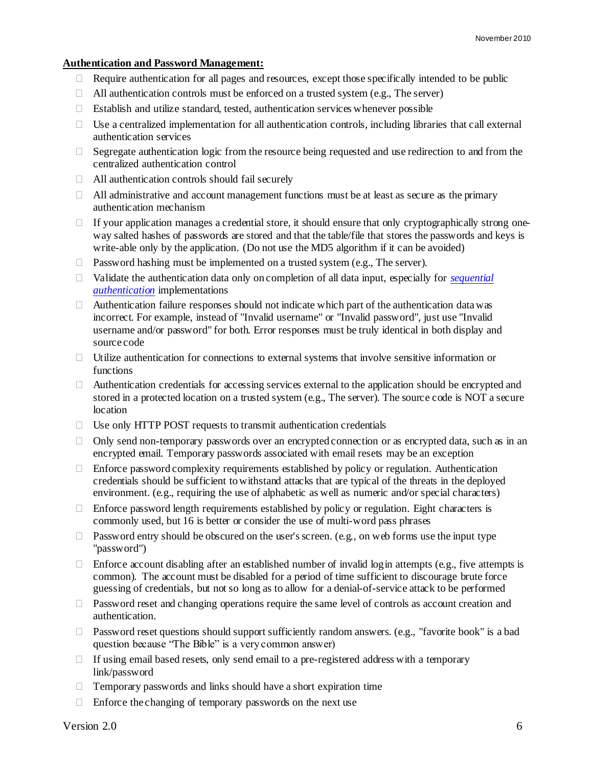#### <span id="page-5-0"></span>**Authentication and Password Management:**

- $\Box$  Require authentication for all pages and resources, except those specifically intended to be public
- $\Box$  All authentication controls must be enforced on a trusted system (e.g., The server)
- $\Box$  Establish and utilize standard, tested, authentication services whenever possible
- $\Box$  Use a centralized implementation for all authentication controls, including libraries that call external authentication services
- $\Box$  Segregate authentication logic from the resource being requested and use redirection to and from the centralized authentication control
- $\Box$  All authentication controls should fail securely
- $\Box$  All administrative and account management functions must be at least as secure as the primary authentication mechanism
- $\Box$  If your application manages a credential store, it should ensure that only cryptographically strong oneway salted hashes of passwords are stored and that the table/file that stores the passwords and keys is write-able only by the application. (Do not use the MD5 algorithm if it can be avoided)
- $\Box$  Password hashing must be implemented on a trusted system (e.g., The server).
- Validate the authentication data only on completion of all data input, especially for *[sequential](#page-16-7)  [authentication](#page-16-7)* implementations
- $\Box$  Authentication failure responses should not indicate which part of the authentication data was incorrect. For example, instead of "Invalid username" or "Invalid password", just use "Invalid username and/or password" for both. Error responses must be truly identical in both display and source code
- $\Box$  Utilize authentication for connections to external systems that involve sensitive information or functions
- $\Box$  Authentication credentials for accessing services external to the application should be encrypted and stored in a protected location on a trusted system (e.g., The server). The source code is NOT a secure location
- $\Box$  Use only HTTP POST requests to transmit authentication credentials
- $\Box$  Only send non-temporary passwords over an encrypted connection or as encrypted data, such as in an encrypted email. Temporary passwords associated with email resets may be an exception
- $\Box$  Enforce password complexity requirements established by policy or regulation. Authentication credentials should be sufficient to withstand attacks that are typical of the threats in the deployed environment. (e.g., requiring the use of alphabetic as well as numeric and/or special characters)
- $\Box$  Enforce password length requirements established by policy or regulation. Eight characters is commonly used, but 16 is better or consider the use of multi-word pass phrases
- $\Box$  Password entry should be obscured on the user's screen. (e.g., on web forms use the input type "password")
- $\Box$  Enforce account disabling after an established number of invalid login attempts (e.g., five attempts is common). The account must be disabled for a period of time sufficient to discourage brute force guessing of credentials, but not so long as to allow for a denial-of-service attack to be performed
- $\Box$  Password reset and changing operations require the same level of controls as account creation and authentication.
- $\Box$  Password reset questions should support sufficiently random answers. (e.g., "favorite book" is a bad question because "The Bible" is a very common answer)
- $\Box$  If using email based resets, only send email to a pre-registered address with a temporary link/password
- $\Box$  Temporary passwords and links should have a short expiration time
- $\Box$  Enforce the changing of temporary passwords on the next use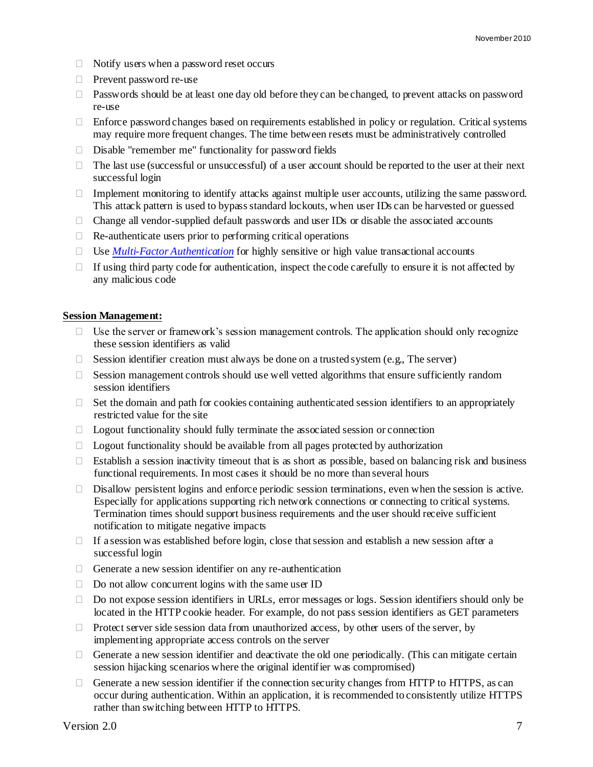- $\Box$  Notify users when a password reset occurs
- Prevent password re-use
- $\Box$  Passwords should be at least one day old before they can be changed, to prevent attacks on password re-use
- $\Box$  Enforce password changes based on requirements established in policy or regulation. Critical systems may require more frequent changes. The time between resets must be administratively controlled
- $\Box$  Disable "remember me" functionality for password fields
- $\Box$  The last use (successful or unsuccessful) of a user account should be reported to the user at their next successful login
- $\Box$  Implement monitoring to identify attacks against multiple user accounts, utilizing the same password. This attack pattern is used to bypass standard lockouts, when user IDs can be harvested or guessed
- $\Box$  Change all vendor-supplied default passwords and user IDs or disable the associated accounts
- $\Box$  Re-authenticate users prior to performing critical operations
- $\Box$  Use *[Multi-Factor Authentication](#page-15-5)* for highly sensitive or high value transactional accounts
- $\Box$  If using third party code for authentication, inspect the code carefully to ensure it is not affected by any malicious code

#### <span id="page-6-0"></span>**Session Management:**

- $\Box$  Use the server or framework's session management controls. The application should only recognize these session identifiers as valid
- $\Box$  Session identifier creation must always be done on a trusted system (e.g., The server)
- $\Box$  Session management controls should use well vetted algorithms that ensure sufficiently random session identifiers
- $\Box$  Set the domain and path for cookies containing authenticated session identifiers to an appropriately restricted value for the site
- $\Box$  Logout functionality should fully terminate the associated session or connection
- $\Box$  Logout functionality should be available from all pages protected by authorization
- $\Box$  Establish a session inactivity timeout that is as short as possible, based on balancing risk and business functional requirements. In most cases it should be no more than several hours
- $\Box$  Disallow persistent logins and enforce periodic session terminations, even when the session is active. Especially for applications supporting rich network connections or connecting to critical systems. Termination times should support business requirements and the user should receive sufficient notification to mitigate negative impacts
- $\Box$  If a session was established before login, close that session and establish a new session after a successful login
- $\Box$  Generate a new session identifier on any re-authentication
- $\Box$  Do not allow concurrent logins with the same user ID
- $\Box$  Do not expose session identifiers in URLs, error messages or logs. Session identifiers should only be located in the HTTP cookie header. For example, do not pass session identifiers as GET parameters
- $\Box$  Protect server side session data from unauthorized access, by other users of the server, by implementing appropriate access controls on the server
- $\Box$  Generate a new session identifier and deactivate the old one periodically. (This can mitigate certain session hijacking scenarios where the original identifier was compromised)
- $\Box$  Generate a new session identifier if the connection security changes from HTTP to HTTPS, as can occur during authentication. Within an application, it is recommended to consistently utilize HTTPS rather than switching between HTTP to HTTPS.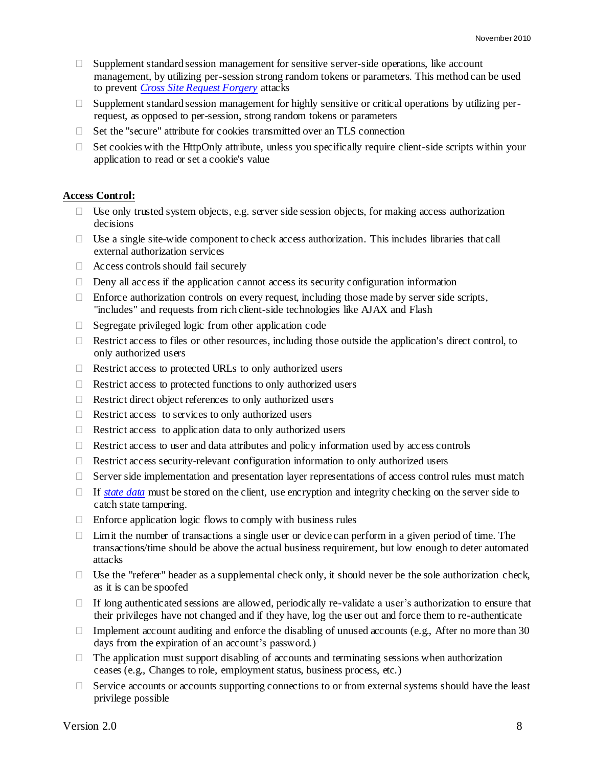- $\Box$  Supplement standard session management for sensitive server-side operations, like account management, by utilizing per-session strong random tokens or parameters. This method can be used to prevent *[Cross Site Request Forgery](#page-14-7)* attacks
- $\Box$  Supplement standard session management for highly sensitive or critical operations by utilizing perrequest, as opposed to per-session, strong random tokens or parameters
- $\Box$  Set the "secure" attribute for cookies transmitted over an TLS connection
- $\Box$  Set cookies with the HttpOnly attribute, unless you specifically require client-side scripts within your application to read or set a cookie's value

#### <span id="page-7-0"></span>**Access Control:**

- $\Box$  Use only trusted system objects, e.g. server side session objects, for making access authorization decisions
- $\Box$  Use a single site-wide component to check access authorization. This includes libraries that call external authorization services
- Access controls should fail securely
- $\Box$  Deny all access if the application cannot access its security configuration information
- $\Box$  Enforce authorization controls on every request, including those made by server side scripts, "includes" and requests from rich client-side technologies like AJAX and Flash
- $\Box$  Segregate privileged logic from other application code
- □ Restrict access to files or other resources, including those outside the application's direct control, to only authorized users
- $\Box$  Restrict access to protected URLs to only authorized users
- $\Box$  Restrict access to protected functions to only authorized users
- □ Restrict direct object references to only authorized users
- $\Box$  Restrict access to services to only authorized users
- $\Box$  Restrict access to application data to only authorized users
- $\Box$  Restrict access to user and data attributes and policy information used by access controls
- $\Box$  Restrict access security-relevant configuration information to only authorized users
- $\Box$  Server side implementation and presentation layer representations of access control rules must match
- If *[state data](#page-16-8)* must be stored on the client, use encryption and integrity checking on the server side to catch state tampering.
- $\Box$  Enforce application logic flows to comply with business rules
- $\Box$  Limit the number of transactions a single user or device can perform in a given period of time. The transactions/time should be above the actual business requirement, but low enough to deter automated attacks
- $\Box$  Use the "referer" header as a supplemental check only, it should never be the sole authorization check, as it is can be spoofed
- $\Box$  If long authenticated sessions are allowed, periodically re-validate a user's authorization to ensure that their privileges have not changed and if they have, log the user out and force them to re-authenticate
- Implement account auditing and enforce the disabling of unused accounts (e.g., After no more than 30 days from the expiration of an account's password.)
- $\Box$  The application must support disabling of accounts and terminating sessions when authorization ceases (e.g., Changes to role, employment status, business process, etc*.*)
- $\Box$  Service accounts or accounts supporting connections to or from external systems should have the least privilege possible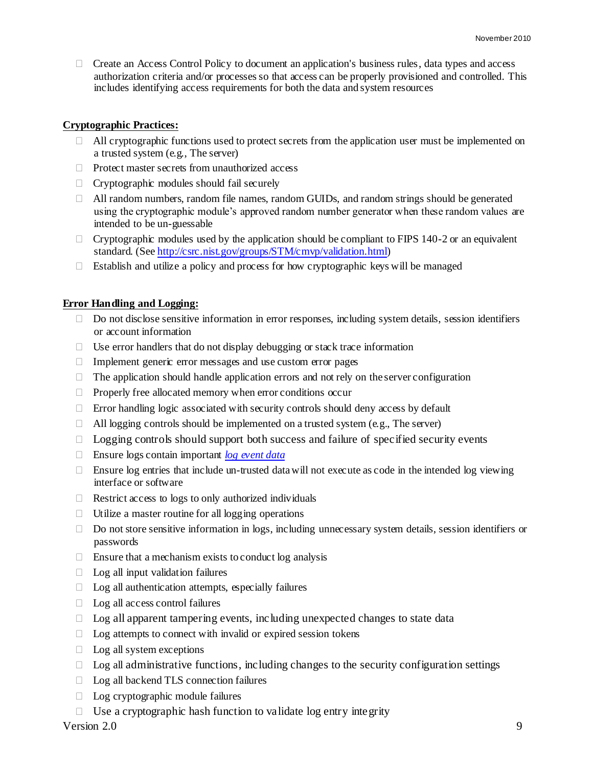$\Box$  Create an Access Control Policy to document an application's business rules, data types and access authorization criteria and/or processes so that access can be properly provisioned and controlled. This includes identifying access requirements for both the data and system resources

#### <span id="page-8-0"></span>**Cryptographic Practices:**

- $\Box$  All cryptographic functions used to protect secrets from the application user must be implemented on a trusted system (e.g., The server)
- $\Box$  Protect master secrets from unauthorized access
- $\Box$  Cryptographic modules should fail securely
- All random numbers, random file names, random GUIDs, and random strings should be generated using the cryptographic module's approved random number generator when these random values are intended to be un-guessable
- $\Box$  Cryptographic modules used by the application should be compliant to FIPS 140-2 or an equivalent standard. (Se[e http://csrc.nist.gov/groups/STM/cmvp/validation.html\)](http://csrc.nist.gov/groups/STM/cmvp/validation.html)
- Establish and utilize a policy and process for how cryptographic keys will be managed

#### <span id="page-8-1"></span>**Error Handling and Logging:**

- □ Do not disclose sensitive information in error responses, including system details, session identifiers or account information
- $\Box$  Use error handlers that do not display debugging or stack trace information
- $\Box$  Implement generic error messages and use custom error pages
- $\Box$  The application should handle application errors and not rely on the server configuration
- $\Box$  Properly free allocated memory when error conditions occur
- $\Box$  Error handling logic associated with security controls should deny access by default
- $\Box$  All logging controls should be implemented on a trusted system (e.g., The server)
- $\Box$  Logging controls should support both success and failure of specified security events
- Ensure logs contain important *[log event data](#page-15-6)*
- Ensure log entries that include un-trusted data will not execute as code in the intended log viewing interface or software
- $\Box$  Restrict access to logs to only authorized individuals
- $\Box$  Utilize a master routine for all logging operations
- $\Box$  Do not store sensitive information in logs, including unnecessary system details, session identifiers or passwords
- $\Box$  Ensure that a mechanism exists to conduct log analysis
- $\Box$  Log all input validation failures
- $\Box$  Log all authentication attempts, especially failures
- $\Box$  Log all access control failures
- $\Box$  Log all apparent tampering events, including unexpected changes to state data
- $\Box$  Log attempts to connect with invalid or expired session tokens
- $\Box$  Log all system exceptions
- $\Box$  Log all administrative functions, including changes to the security configuration settings
- □ Log all backend TLS connection failures
- □ Log cryptographic module failures
- $\Box$  Use a cryptographic hash function to validate log entry integrity

 $Version 2.0$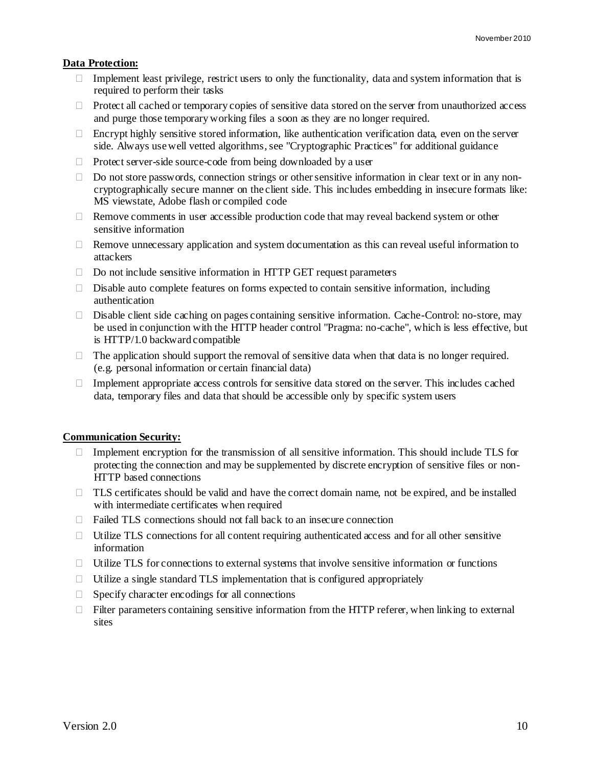#### <span id="page-9-0"></span>**Data Protection:**

- $\Box$  Implement least privilege, restrict users to only the functionality, data and system information that is required to perform their tasks
- $\Box$  Protect all cached or temporary copies of sensitive data stored on the server from unauthorized access and purge those temporary working files a soon as they are no longer required.
- $\Box$  Encrypt highly sensitive stored information, like authentication verification data, even on the server side. Always use well vetted algorithms, see "Cryptographic Practices" for additional guidance
- $\Box$  Protect server-side source-code from being downloaded by a user
- $\Box$  Do not store passwords, connection strings or other sensitive information in clear text or in any noncryptographically secure manner on the client side. This includes embedding in insecure formats like: MS viewstate, Adobe flash or compiled code
- $\Box$  Remove comments in user accessible production code that may reveal backend system or other sensitive information
- $\Box$  Remove unnecessary application and system documentation as this can reveal useful information to attackers
- $\Box$  Do not include sensitive information in HTTP GET request parameters
- $\square$  Disable auto complete features on forms expected to contain sensitive information, including authentication
- $\Box$  Disable client side caching on pages containing sensitive information. Cache-Control: no-store, may be used in conjunction with the HTTP header control "Pragma: no-cache", which is less effective, but is HTTP/1.0 backward compatible
- $\Box$  The application should support the removal of sensitive data when that data is no longer required. (e.g. personal information or certain financial data)
- $\Box$  Implement appropriate access controls for sensitive data stored on the server. This includes cached data, temporary files and data that should be accessible only by specific system users

#### <span id="page-9-1"></span>**Communication Security:**

- $\Box$  Implement encryption for the transmission of all sensitive information. This should include TLS for protecting the connection and may be supplemented by discrete encryption of sensitive files or non-HTTP based connections
- $\Box$  TLS certificates should be valid and have the correct domain name, not be expired, and be installed with intermediate certificates when required
- $\Box$  Failed TLS connections should not fall back to an insecure connection
- $\Box$  Utilize TLS connections for all content requiring authenticated access and for all other sensitive information
- $\Box$  Utilize TLS for connections to external systems that involve sensitive information or functions
- $\Box$  Utilize a single standard TLS implementation that is configured appropriately
- $\Box$  Specify character encodings for all connections
- $\Box$  Filter parameters containing sensitive information from the HTTP referer, when linking to external sites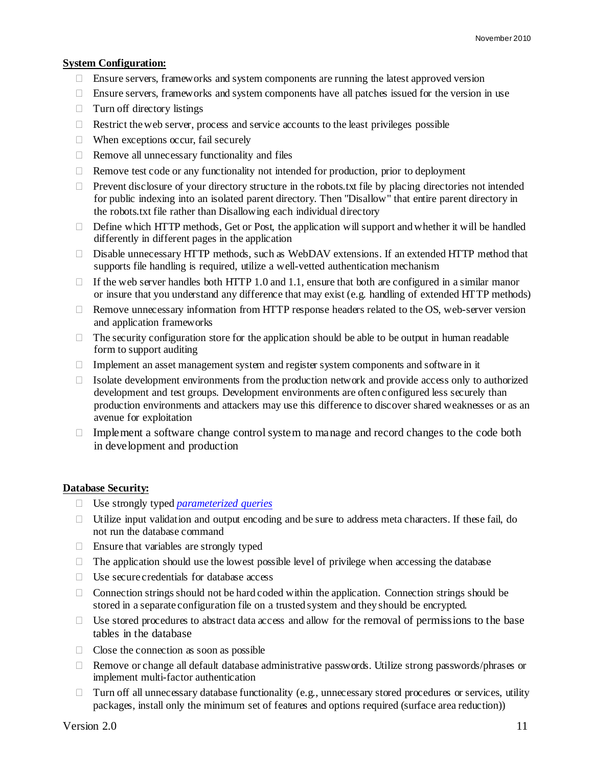#### <span id="page-10-0"></span>**System Configuration:**

- $\Box$  Ensure servers, frameworks and system components are running the latest approved version
- $\Box$  Ensure servers, frameworks and system components have all patches issued for the version in use
- $\Box$  Turn off directory listings
- $\Box$  Restrict the web server, process and service accounts to the least privileges possible
- $\Box$  When exceptions occur, fail securely
- $\Box$  Remove all unnecessary functionality and files
- $\Box$  Remove test code or any functionality not intended for production, prior to deployment
- $\Box$  Prevent disclosure of your directory structure in the robots.txt file by placing directories not intended for public indexing into an isolated parent directory. Then "Disallow" that entire parent directory in the robots.txt file rather than Disallowing each individual directory
- $\Box$  Define which HTTP methods, Get or Post, the application will support and whether it will be handled differently in different pages in the application
- $\Box$  Disable unnecessary HTTP methods, such as WebDAV extensions. If an extended HTTP method that supports file handling is required, utilize a well-vetted authentication mechanism
- $\Box$  If the web server handles both HTTP 1.0 and 1.1, ensure that both are configured in a similar manor or insure that you understand any difference that may exist (e.g. handling of extended HTTP methods)
- $\Box$  Remove unnecessary information from HTTP response headers related to the OS, web-server version and application frameworks
- $\Box$  The security configuration store for the application should be able to be output in human readable form to support auditing
- $\Box$  Implement an asset management system and register system components and software in it
- $\Box$  Isolate development environments from the production network and provide access only to authorized development and test groups. Development environments are often configured less securely than production environments and attackers may use this difference to discover shared weaknesses or as an avenue for exploitation
- $\Box$  Implement a software change control system to manage and record changes to the code both in development and production

#### <span id="page-10-1"></span>**Database Security:**

- Use strongly typed *[parameterized queries](#page-15-7)*
- $\Box$  Utilize input validation and output encoding and be sure to address meta characters. If these fail, do not run the database command
- $\Box$  Ensure that variables are strongly typed
- $\Box$  The application should use the lowest possible level of privilege when accessing the database
- Use secure credentials for database access
- $\Box$  Connection strings should not be hard coded within the application. Connection strings should be stored in a separate configuration file on a trusted system and they should be encrypted.
- $\Box$  Use stored procedures to abstract data access and allow for the removal of permissions to the base tables in the database
- $\Box$  Close the connection as soon as possible
- □ Remove or change all default database administrative passwords. Utilize strong passwords/phrases or implement multi-factor authentication
- $\Box$  Turn off all unnecessary database functionality (e.g., unnecessary stored procedures or services, utility packages, install only the minimum set of features and options required (surface area reduction))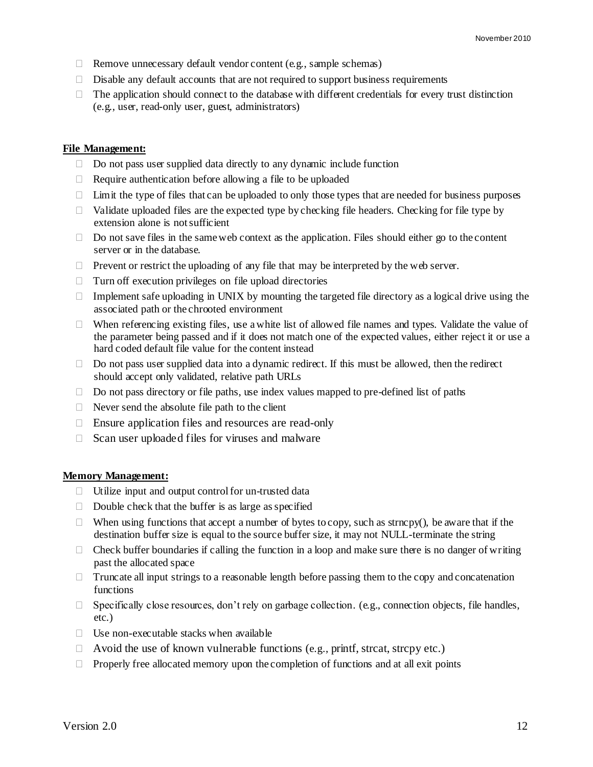- $\Box$  Remove unnecessary default vendor content (e.g., sample schemas)
- $\Box$  Disable any default accounts that are not required to support business requirements
- $\Box$  The application should connect to the database with different credentials for every trust distinction (e.g., user, read-only user, guest, administrators)

#### <span id="page-11-0"></span>**File Management:**

- $\Box$  Do not pass user supplied data directly to any dynamic include function
- $\Box$  Require authentication before allowing a file to be uploaded
- $\Box$  Limit the type of files that can be uploaded to only those types that are needed for business purposes
- $\Box$  Validate uploaded files are the expected type by checking file headers. Checking for file type by extension alone is not sufficient
- $\Box$  Do not save files in the same web context as the application. Files should either go to the content server or in the database.
- $\Box$  Prevent or restrict the uploading of any file that may be interpreted by the web server.
- $\Box$  Turn off execution privileges on file upload directories
- $\Box$  Implement safe uploading in UNIX by mounting the targeted file directory as a logical drive using the associated path or the chrooted environment
- When referencing existing files, use a white list of allowed file names and types. Validate the value of the parameter being passed and if it does not match one of the expected values, either reject it or use a hard coded default file value for the content instead
- $\Box$  Do not pass user supplied data into a dynamic redirect. If this must be allowed, then the redirect should accept only validated, relative path URLs
- $\Box$  Do not pass directory or file paths, use index values mapped to pre-defined list of paths
- $\Box$  Never send the absolute file path to the client
- $\Box$  Ensure application files and resources are read-only
- $\Box$  Scan user uploaded files for viruses and malware

#### <span id="page-11-1"></span>**Memory Management:**

- $\Box$  Utilize input and output control for un-trusted data
- $\Box$  Double check that the buffer is as large as specified
- $\Box$  When using functions that accept a number of bytes to copy, such as strncpy(), be aware that if the destination buffer size is equal to the source buffer size, it may not NULL-terminate the string
- $\Box$  Check buffer boundaries if calling the function in a loop and make sure there is no danger of writing past the allocated space
- $\Box$  Truncate all input strings to a reasonable length before passing them to the copy and concatenation functions
- $\Box$  Specifically close resources, don't rely on garbage collection. (e.g., connection objects, file handles, etc.)
- $\Box$  Use non-executable stacks when available
- $\Box$  Avoid the use of known vulnerable functions (e.g., printf, strcat, strcpy etc.)
- $\Box$  Properly free allocated memory upon the completion of functions and at all exit points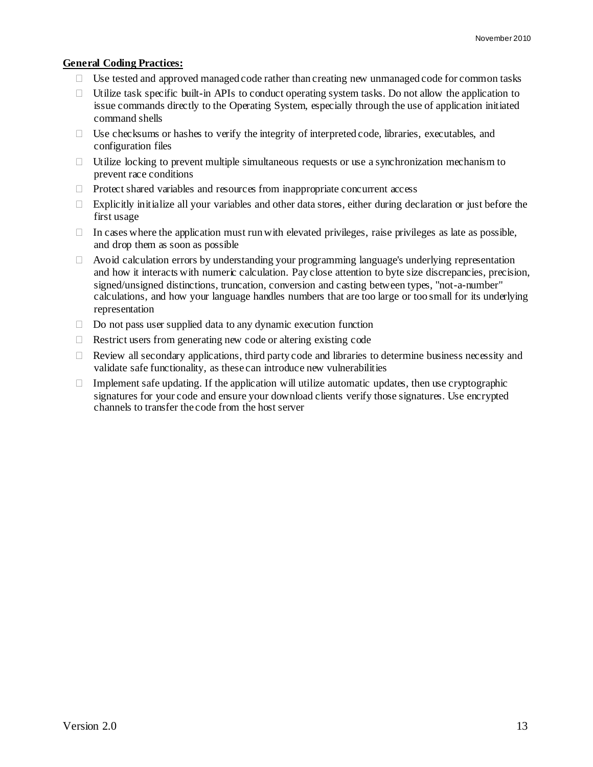#### <span id="page-12-0"></span>**General Coding Practices:**

- $\Box$  Use tested and approved managed code rather than creating new unmanaged code for common tasks
- $\Box$  Utilize task specific built-in APIs to conduct operating system tasks. Do not allow the application to issue commands directly to the Operating System, especially through the use of application initiated command shells
- Use checksums or hashes to verify the integrity of interpreted code, libraries, executables, and configuration files
- $\Box$  Utilize locking to prevent multiple simultaneous requests or use a synchronization mechanism to prevent race conditions
- $\Box$  Protect shared variables and resources from inappropriate concurrent access
- $\Box$  Explicitly initialize all your variables and other data stores, either during declaration or just before the first usage
- $\Box$  In cases where the application must run with elevated privileges, raise privileges as late as possible, and drop them as soon as possible
- $\Box$  Avoid calculation errors by understanding your programming language's underlying representation and how it interacts with numeric calculation. Pay close attention to byte size discrepancies, precision, signed/unsigned distinctions, truncation, conversion and casting between types, "not-a-number" calculations, and how your language handles numbers that are too large or too small for its underlying representation
- $\Box$  Do not pass user supplied data to any dynamic execution function
- $\Box$  Restrict users from generating new code or altering existing code
- $\Box$  Review all secondary applications, third party code and libraries to determine business necessity and validate safe functionality, as these can introduce new vulnerabilities
- $\Box$  Implement safe updating. If the application will utilize automatic updates, then use cryptographic signatures for your code and ensure your download clients verify those signatures. Use encrypted channels to transfer the code from the host server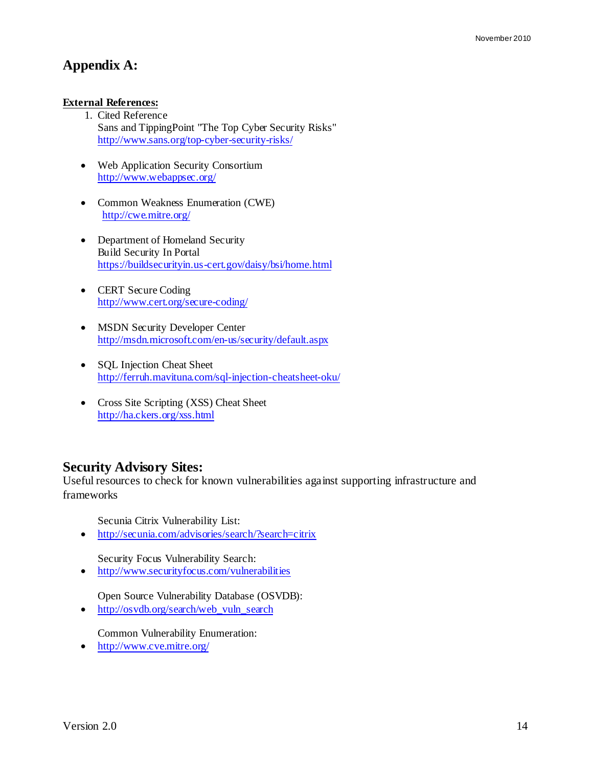## <span id="page-13-0"></span>**Appendix A:**

#### <span id="page-13-1"></span>**External References:**

- 1. Cited Reference Sans and TippingPoint "The Top Cyber Security Risks" <http://www.sans.org/top-cyber-security-risks/>
- Web Application Security Consortium <http://www.webappsec.org/>
- Common Weakness Enumeration (CWE) <http://cwe.mitre.org/>
- Department of Homeland Security Build Security In Portal <https://buildsecurityin.us-cert.gov/daisy/bsi/home.html>
- CERT Secure Coding <http://www.cert.org/secure-coding/>
- MSDN Security Developer Center <http://msdn.microsoft.com/en-us/security/default.aspx>
- SQL Injection Cheat Sheet <http://ferruh.mavituna.com/sql-injection-cheatsheet-oku/>
- Cross Site Scripting (XSS) Cheat Sheet <http://ha.ckers.org/xss.html>

### **Security Advisory Sites:**

Useful resources to check for known vulnerabilities against supporting infrastructure and frameworks

Secunia Citrix Vulnerability List:

<http://secunia.com/advisories/search/?search=citrix>

Security Focus Vulnerability Search:

<http://www.securityfocus.com/vulnerabilities>

Open Source Vulnerability Database (OSVDB):

• [http://osvdb.org/search/web\\_vuln\\_search](http://osvdb.org/search/web_vuln_search)

Common Vulnerability Enumeration:

<http://www.cve.mitre.org/>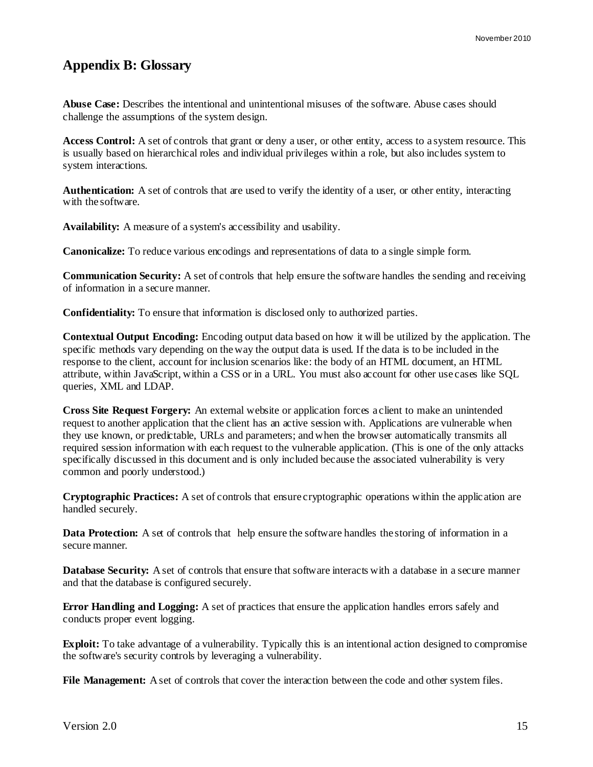## <span id="page-14-0"></span>**Appendix B: Glossary**

<span id="page-14-4"></span>**Abuse Case:** Describes the intentional and unintentional misuses of the software. Abuse cases should challenge the assumptions of the system design.

**Access Control:** A set of controls that grant or deny a user, or other entity, access to a system resource. This is usually based on hierarchical roles and individual privileges within a role, but also includes system to system interactions.

**Authentication:** A set of controls that are used to verify the identity of a user, or other entity, interacting with the software.

<span id="page-14-2"></span>**Availability:** A measure of a system's accessibility and usability.

<span id="page-14-5"></span>**Canonicalize:** To reduce various encodings and representations of data to a single simple form.

**Communication Security:** A set of controls that help ensure the software handles the sending and receiving of information in a secure manner.

<span id="page-14-1"></span>**Confidentiality:** To ensure that information is disclosed only to authorized parties.

<span id="page-14-6"></span>**Contextual Output Encoding:** Encoding output data based on how it will be utilized by the application. The specific methods vary depending on the way the output data is used. If the data is to be included in the response to the client, account for inclusion scenarios like: the body of an HTML document, an HTML attribute, within JavaScript, within a CSS or in a URL. You must also account for other use cases like SQL queries, XML and LDAP.

<span id="page-14-7"></span>**Cross Site Request Forgery:** An external website or application forces a client to make an unintended request to another application that the client has an active session with. Applications are vulnerable when they use known, or predictable, URLs and parameters; and when the browser automatically transmits all required session information with each request to the vulnerable application. (This is one of the only attacks specifically discussed in this document and is only included because the associated vulnerability is very common and poorly understood.)

**Cryptographic Practices:** A set of controls that ensure cryptographic operations within the applic ation are handled securely.

**Data Protection:** A set of controls that help ensure the software handles the storing of information in a secure manner.

**Database Security:** A set of controls that ensure that software interacts with a database in a secure manner and that the database is configured securely.

**Error Handling and Logging:** A set of practices that ensure the application handles errors safely and conducts proper event logging.

<span id="page-14-3"></span>**Exploit:** To take advantage of a vulnerability. Typically this is an intentional action designed to compromise the software's security controls by leveraging a vulnerability.

**File Management:** A set of controls that cover the interaction between the code and other system files.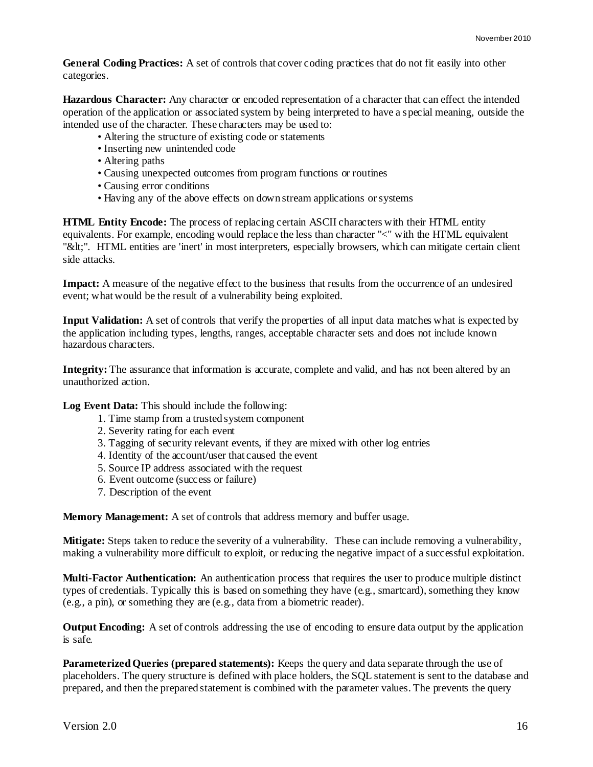**General Coding Practices:** A set of controls that cover coding practices that do not fit easily into other categories.

<span id="page-15-3"></span>**Hazardous Character:** Any character or encoded representation of a character that can effect the intended operation of the application or associated system by being interpreted to have a special meaning, outside the intended use of the character. These characters may be used to:

- Altering the structure of existing code or statements
- Inserting new unintended code
- Altering paths
- Causing unexpected outcomes from program functions or routines
- Causing error conditions
- Having any of the above effects on down stream applications or systems

<span id="page-15-4"></span>**HTML Entity Encode:** The process of replacing certain ASCII characters with their HTML entity equivalents. For example, encoding would replace the less than character "<" with the HTML equivalent "&tt;". HTML entities are 'inert' in most interpreters, especially browsers, which can mitigate certain client side attacks.

<span id="page-15-2"></span>**Impact:** A measure of the negative effect to the business that results from the occurrence of an undesired event; what would be the result of a vulnerability being exploited.

**Input Validation:** A set of controls that verify the properties of all input data matches what is expected by the application including types, lengths, ranges, acceptable character sets and does not include known hazardous characters.

<span id="page-15-0"></span>**Integrity:** The assurance that information is accurate, complete and valid, and has not been altered by an unauthorized action.

<span id="page-15-6"></span>**Log Event Data:** This should include the following:

- 1. Time stamp from a trusted system component
- 2. Severity rating for each event
- 3. Tagging of security relevant events, if they are mixed with other log entries
- 4. Identity of the account/user that caused the event
- 5. Source IP address associated with the request
- 6. Event outcome (success or failure)
- 7. Description of the event

**Memory Management:** A set of controls that address memory and buffer usage.

<span id="page-15-1"></span>**Mitigate:** Steps taken to reduce the severity of a vulnerability. These can include removing a vulnerability, making a vulnerability more difficult to exploit, or reducing the negative impact of a successful exploitation.

<span id="page-15-5"></span>**Multi-Factor Authentication:** An authentication process that requires the user to produce multiple distinct types of credentials. Typically this is based on something they have (e.g., smartcard), something they know (e.g., a pin), or something they are (e.g., data from a biometric reader).

**Output Encoding:** A set of controls addressing the use of encoding to ensure data output by the application is safe.

<span id="page-15-7"></span>**Parameterized Queries (prepared statements):** Keeps the query and data separate through the use of placeholders. The query structure is defined with place holders, the SQL statement is sent to the database and prepared, and then the prepared statement is combined with the parameter values. The prevents the query